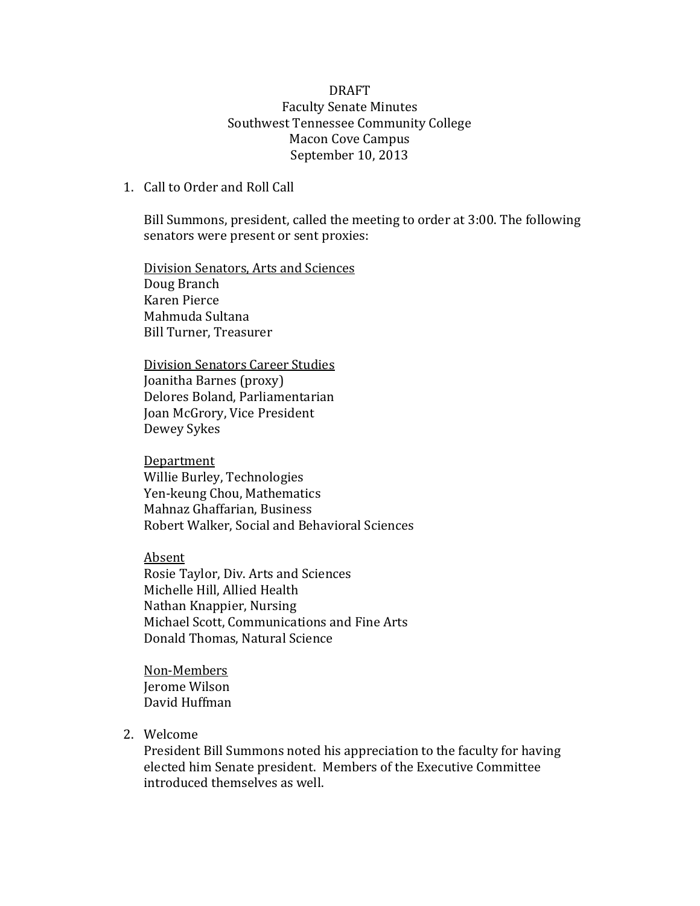## DRAFT Faculty Senate Minutes Southwest Tennessee Community College Macon Cove Campus September 10, 2013

#### 1. Call to Order and Roll Call

Bill Summons, president, called the meeting to order at 3:00. The following senators were present or sent proxies:

Division Senators, Arts and Sciences Doug Branch Karen Pierce Mahmuda Sultana Bill Turner, Treasurer

Division Senators Career Studies Joanitha Barnes (proxy) Delores Boland, Parliamentarian Joan McGrory, Vice President Dewey Sykes

**Department** Willie Burley, Technologies Yen-keung Chou, Mathematics Mahnaz Ghaffarian, Business Robert Walker, Social and Behavioral Sciences

Absent Rosie Taylor, Div. Arts and Sciences Michelle Hill, Allied Health Nathan Knappier, Nursing Michael Scott, Communications and Fine Arts Donald Thomas, Natural Science

Non-Members Jerome Wilson David Huffman

2. Welcome

President Bill Summons noted his appreciation to the faculty for having elected him Senate president. Members of the Executive Committee introduced themselves as well.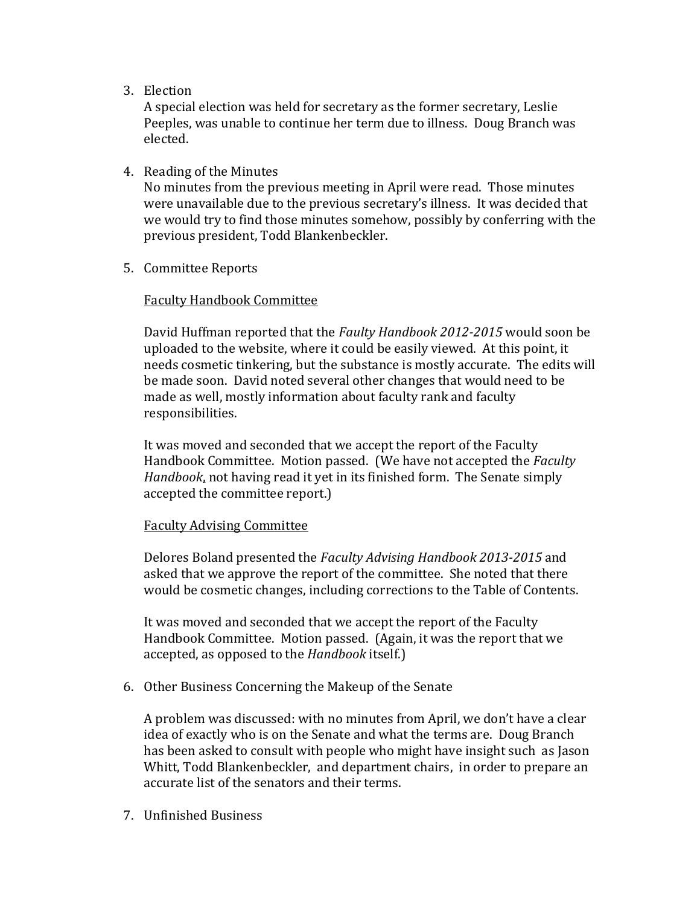3. Election

A special election was held for secretary as the former secretary, Leslie Peeples, was unable to continue her term due to illness. Doug Branch was elected.

4. Reading of the Minutes

No minutes from the previous meeting in April were read. Those minutes were unavailable due to the previous secretary's illness. It was decided that we would try to find those minutes somehow, possibly by conferring with the previous president, Todd Blankenbeckler.

5. Committee Reports

## Faculty Handbook Committee

David Huffman reported that the *Faulty Handbook 2012-2015* would soon be uploaded to the website, where it could be easily viewed. At this point, it needs cosmetic tinkering, but the substance is mostly accurate. The edits will be made soon. David noted several other changes that would need to be made as well, mostly information about faculty rank and faculty responsibilities.

It was moved and seconded that we accept the report of the Faculty Handbook Committee. Motion passed. (We have not accepted the *Faculty Handbook*, not having read it yet in its finished form. The Senate simply accepted the committee report.)

#### Faculty Advising Committee

Delores Boland presented the *Faculty Advising Handbook 2013-2015* and asked that we approve the report of the committee. She noted that there would be cosmetic changes, including corrections to the Table of Contents.

It was moved and seconded that we accept the report of the Faculty Handbook Committee. Motion passed. (Again, it was the report that we accepted, as opposed to the *Handbook* itself.)

6. Other Business Concerning the Makeup of the Senate

A problem was discussed: with no minutes from April, we don't have a clear idea of exactly who is on the Senate and what the terms are. Doug Branch has been asked to consult with people who might have insight such as Jason Whitt, Todd Blankenbeckler, and department chairs, in order to prepare an accurate list of the senators and their terms.

7. Unfinished Business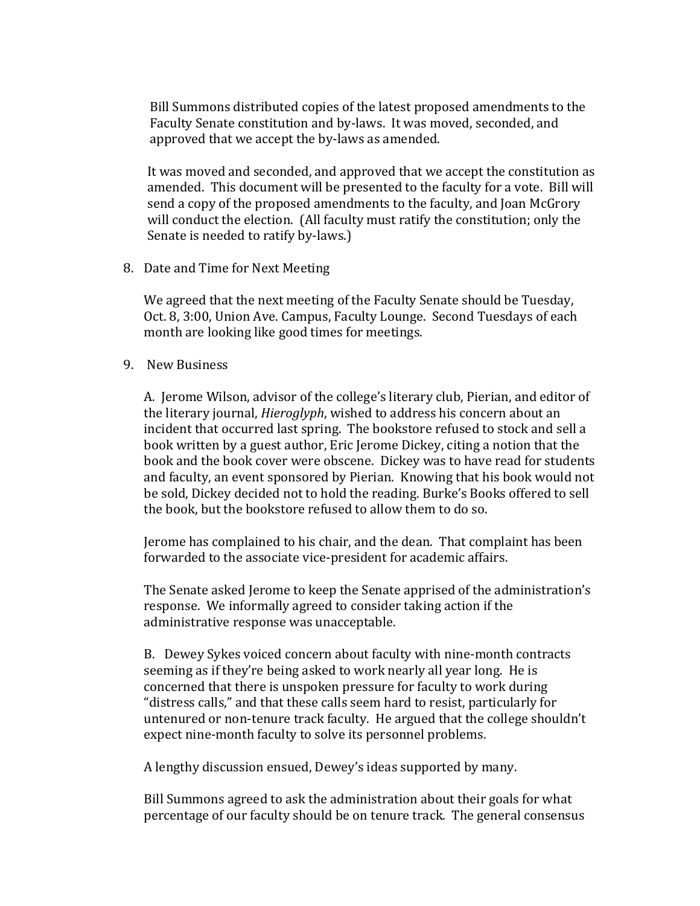Bill Summons distributed copies of the latest proposed amendments to the Faculty Senate constitution and by-laws. It was moved, seconded, and approved that we accept the by-laws as amended.

It was moved and seconded, and approved that we accept the constitution as amended. This document will be presented to the faculty for a vote. Bill will send a copy of the proposed amendments to the faculty, and Joan McGrory will conduct the election. (All faculty must ratify the constitution; only the Senate is needed to ratify by-laws.)

8. Date and Time for Next Meeting

We agreed that the next meeting of the Faculty Senate should be Tuesday, Oct. 8, 3:00, Union Ave. Campus, Faculty Lounge. Second Tuesdays of each month are looking like good times for meetings.

9. New Business

A. Jerome Wilson, advisor of the college's literary club, Pierian, and editor of the literary journal, *Hieroglyph*, wished to address his concern about an incident that occurred last spring. The bookstore refused to stock and sell a book written by a guest author, Eric Jerome Dickey, citing a notion that the book and the book cover were obscene. Dickey was to have read for students and faculty, an event sponsored by Pierian. Knowing that his book would not be sold, Dickey decided not to hold the reading. Burke's Books offered to sell the book, but the bookstore refused to allow them to do so.

Jerome has complained to his chair, and the dean. That complaint has been forwarded to the associate vice-president for academic affairs.

The Senate asked Jerome to keep the Senate apprised of the administration's response. We informally agreed to consider taking action if the administrative response was unacceptable.

B. Dewey Sykes voiced concern about faculty with nine-month contracts seeming as if they're being asked to work nearly all year long. He is concerned that there is unspoken pressure for faculty to work during "distress calls," and that these calls seem hard to resist, particularly for untenured or non-tenure track faculty. He argued that the college shouldn't expect nine-month faculty to solve its personnel problems.

A lengthy discussion ensued, Dewey's ideas supported by many.

Bill Summons agreed to ask the administration about their goals for what percentage of our faculty should be on tenure track. The general consensus